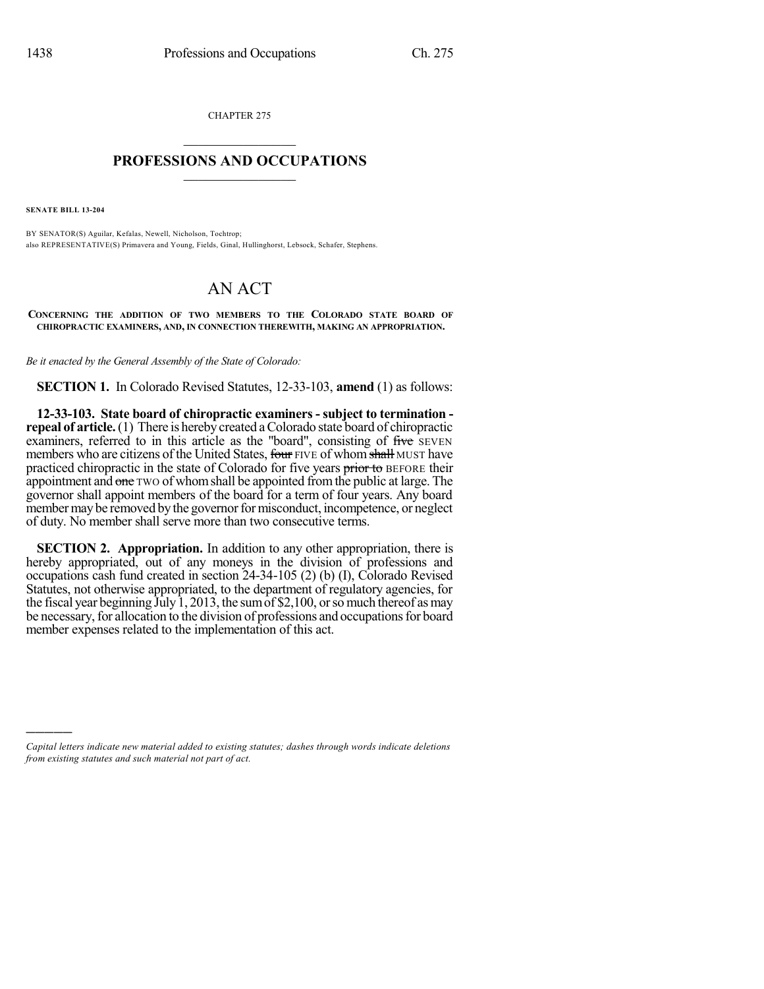CHAPTER 275  $\mathcal{L}_\text{max}$  . The set of the set of the set of the set of the set of the set of the set of the set of the set of the set of the set of the set of the set of the set of the set of the set of the set of the set of the set

## **PROFESSIONS AND OCCUPATIONS**  $\frac{1}{2}$  ,  $\frac{1}{2}$  ,  $\frac{1}{2}$  ,  $\frac{1}{2}$  ,  $\frac{1}{2}$  ,  $\frac{1}{2}$

**SENATE BILL 13-204**

)))))

BY SENATOR(S) Aguilar, Kefalas, Newell, Nicholson, Tochtrop; also REPRESENTATIVE(S) Primavera and Young, Fields, Ginal, Hullinghorst, Lebsock, Schafer, Stephens.

## AN ACT

**CONCERNING THE ADDITION OF TWO MEMBERS TO THE COLORADO STATE BOARD OF CHIROPRACTIC EXAMINERS, AND, IN CONNECTION THEREWITH, MAKING AN APPROPRIATION.**

*Be it enacted by the General Assembly of the State of Colorado:*

**SECTION 1.** In Colorado Revised Statutes, 12-33-103, **amend** (1) as follows:

**12-33-103. State board of chiropractic examiners - subject to termination repeal of article.** (1) There is hereby created a Colorado state board of chiropractic examiners, referred to in this article as the "board", consisting of five SEVEN members who are citizens of the United States, four FIVE of whom shall MUST have practiced chiropractic in the state of Colorado for five years prior to BEFORE their appointment and one TWO of whom shall be appointed from the public at large. The governor shall appoint members of the board for a term of four years. Any board member may be removed by the governor for misconduct, incompetence, or neglect of duty. No member shall serve more than two consecutive terms.

**SECTION 2. Appropriation.** In addition to any other appropriation, there is hereby appropriated, out of any moneys in the division of professions and occupations cash fund created in section 24-34-105 (2) (b) (I), Colorado Revised Statutes, not otherwise appropriated, to the department of regulatory agencies, for the fiscal year beginning July 1, 2013, the sum of \$2,100, or so much thereof as may be necessary, for allocation to the division of professions and occupations for board member expenses related to the implementation of this act.

*Capital letters indicate new material added to existing statutes; dashes through words indicate deletions from existing statutes and such material not part of act.*